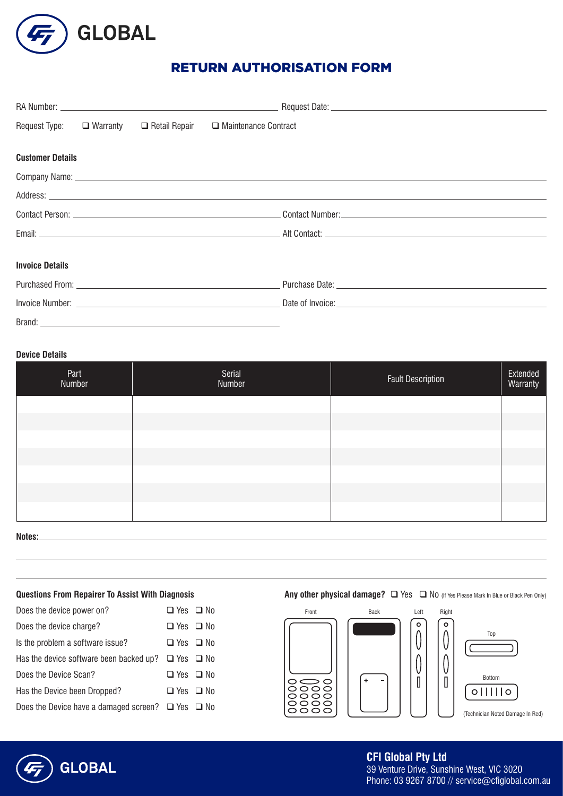

# RETURN AUTHORISATION FORM

|                         |  |  | Request Type: □ Warranty □ Retail Repair □ Maintenance Contract |  |  |  |
|-------------------------|--|--|-----------------------------------------------------------------|--|--|--|
| <b>Customer Details</b> |  |  |                                                                 |  |  |  |
|                         |  |  |                                                                 |  |  |  |
|                         |  |  |                                                                 |  |  |  |
|                         |  |  |                                                                 |  |  |  |
|                         |  |  |                                                                 |  |  |  |
| <b>Invoice Details</b>  |  |  |                                                                 |  |  |  |
|                         |  |  |                                                                 |  |  |  |
|                         |  |  |                                                                 |  |  |  |
|                         |  |  |                                                                 |  |  |  |

## **Device Details**

| Part<br>Number | Serial<br>Number | <b>Fault Description</b> | Extended<br>Warranty |
|----------------|------------------|--------------------------|----------------------|
|                |                  |                          |                      |
|                |                  |                          |                      |
|                |                  |                          |                      |
|                |                  |                          |                      |
|                |                  |                          |                      |
|                |                  |                          |                      |
|                |                  |                          |                      |

**Notes:**

| Does the device power on?                                    | $\Box$ Yes $\Box$ No |  |
|--------------------------------------------------------------|----------------------|--|
| Does the device charge?                                      | □ Yes □ No           |  |
| Is the problem a software issue?                             | □ Yes □ No           |  |
| Has the device software been backed up? $\Box$ Yes $\Box$ No |                      |  |
| Does the Device Scan?                                        | $\Box$ Yes $\Box$ No |  |
| Has the Device been Dropped?                                 | □ Yes □ No           |  |
| Does the Device have a damaged screen? $\Box$ Yes $\Box$ No  |                      |  |

# **Questions From Repairer To Assist With Diagnosis Any other physical damage?** Thes Tand of thes Please Mark In Blue or Black Pen Only)